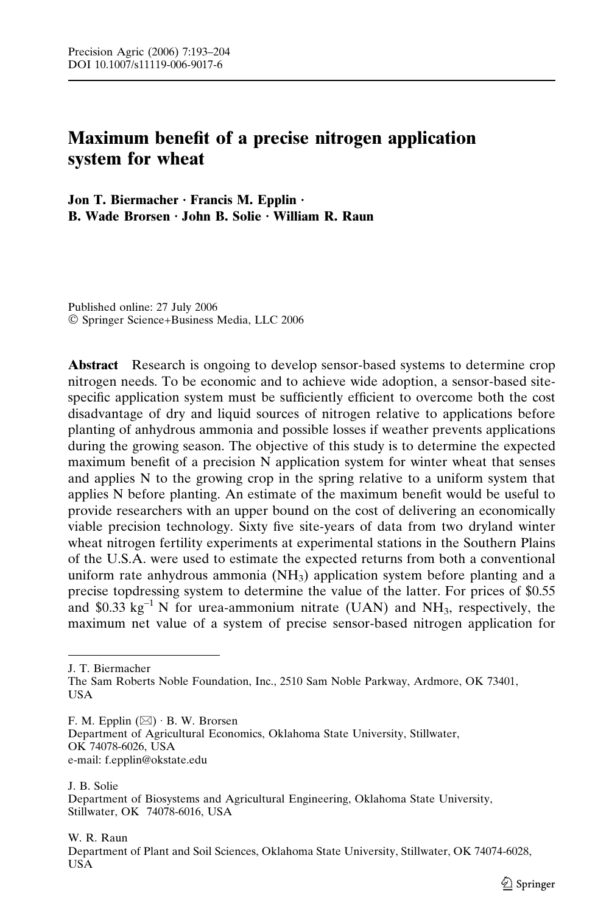# Maximum benefit of a precise nitrogen application system for wheat

Jon T. Biermacher  $\cdot$  Francis M. Epplin  $\cdot$ B. Wade Brorsen  $\cdot$  John B. Solie  $\cdot$  William R. Raun

Published online: 27 July 2006 Springer Science+Business Media, LLC 2006

Abstract Research is ongoing to develop sensor-based systems to determine crop nitrogen needs. To be economic and to achieve wide adoption, a sensor-based sitespecific application system must be sufficiently efficient to overcome both the cost disadvantage of dry and liquid sources of nitrogen relative to applications before planting of anhydrous ammonia and possible losses if weather prevents applications during the growing season. The objective of this study is to determine the expected maximum benefit of a precision N application system for winter wheat that senses and applies N to the growing crop in the spring relative to a uniform system that applies N before planting. An estimate of the maximum benefit would be useful to provide researchers with an upper bound on the cost of delivering an economically viable precision technology. Sixty five site-years of data from two dryland winter wheat nitrogen fertility experiments at experimental stations in the Southern Plains of the U.S.A. were used to estimate the expected returns from both a conventional uniform rate anhydrous ammonia  $(NH_3)$  application system before planting and a precise topdressing system to determine the value of the latter. For prices of \$0.55 and \$0.33 kg<sup>-1</sup> N for urea-ammonium nitrate (UAN) and NH<sub>3</sub>, respectively, the maximum net value of a system of precise sensor-based nitrogen application for

J. T. Biermacher

F. M. Epplin  $(\boxtimes) \cdot$  B. W. Brorsen Department of Agricultural Economics, Oklahoma State University, Stillwater, OK 74078-6026, USA e-mail: f.epplin@okstate.edu

J. B. Solie Department of Biosystems and Agricultural Engineering, Oklahoma State University, Stillwater, OK 74078-6016, USA

W. R. Raun

Department of Plant and Soil Sciences, Oklahoma State University, Stillwater, OK 74074-6028, **IISA** 

The Sam Roberts Noble Foundation, Inc., 2510 Sam Noble Parkway, Ardmore, OK 73401, USA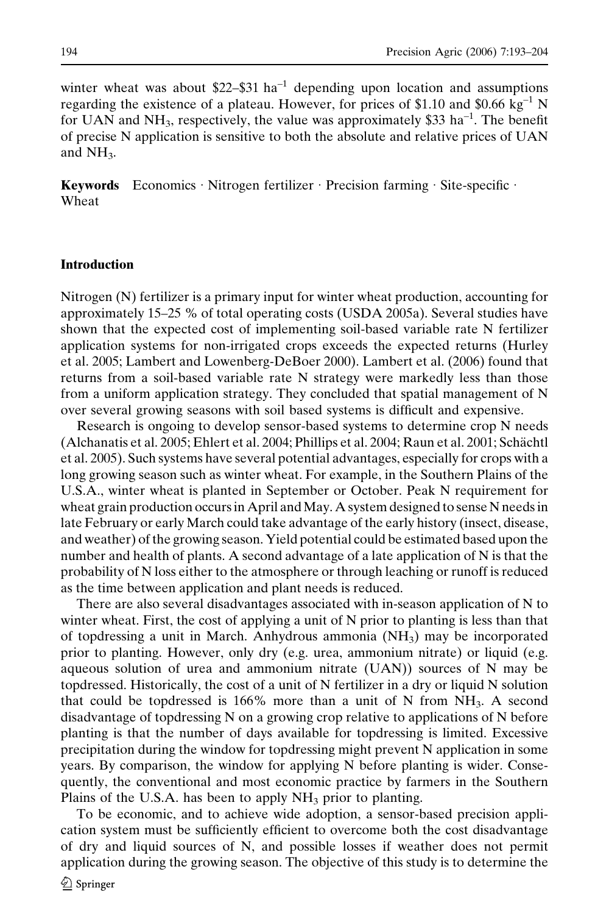winter wheat was about  $$22$ - $$31$  ha<sup>-1</sup> depending upon location and assumptions regarding the existence of a plateau. However, for prices of \$1.10 and \$0.66  $kg^{-1}$  N for UAN and NH<sub>3</sub>, respectively, the value was approximately \$33 ha<sup>-1</sup>. The benefit of precise N application is sensitive to both the absolute and relative prices of UAN and  $NH<sub>3</sub>$ .

**Keywords** Economics Nitrogen fertilizer Precision farming  $\cdot$  Site-specific  $\cdot$ Wheat

### Introduction

Nitrogen (N) fertilizer is a primary input for winter wheat production, accounting for approximately 15–25 % of total operating costs (USDA 2005a). Several studies have shown that the expected cost of implementing soil-based variable rate N fertilizer application systems for non-irrigated crops exceeds the expected returns (Hurley et al. 2005; Lambert and Lowenberg-DeBoer 2000). Lambert et al. (2006) found that returns from a soil-based variable rate N strategy were markedly less than those from a uniform application strategy. They concluded that spatial management of N over several growing seasons with soil based systems is difficult and expensive.

Research is ongoing to develop sensor-based systems to determine crop N needs (Alchanatis et al. 2005; Ehlert et al. 2004; Phillips et al. 2004; Raun et al. 2001; Schächtl et al. 2005). Such systems have several potential advantages, especially for crops with a long growing season such as winter wheat. For example, in the Southern Plains of the U.S.A., winter wheat is planted in September or October. Peak N requirement for wheat grain production occurs in April and May. A system designed to sense N needs in late February or early March could take advantage of the early history (insect, disease, and weather) of the growing season. Yield potential could be estimated based upon the number and health of plants. A second advantage of a late application of N is that the probability of N loss either to the atmosphere or through leaching or runoff is reduced as the time between application and plant needs is reduced.

There are also several disadvantages associated with in-season application of N to winter wheat. First, the cost of applying a unit of N prior to planting is less than that of topdressing a unit in March. Anhydrous ammonia  $(NH<sub>3</sub>)$  may be incorporated prior to planting. However, only dry (e.g. urea, ammonium nitrate) or liquid (e.g. aqueous solution of urea and ammonium nitrate (UAN)) sources of N may be topdressed. Historically, the cost of a unit of N fertilizer in a dry or liquid N solution that could be topdressed is 166% more than a unit of N from  $NH<sub>3</sub>$ . A second disadvantage of topdressing N on a growing crop relative to applications of N before planting is that the number of days available for topdressing is limited. Excessive precipitation during the window for topdressing might prevent N application in some years. By comparison, the window for applying N before planting is wider. Consequently, the conventional and most economic practice by farmers in the Southern Plains of the U.S.A. has been to apply  $NH<sub>3</sub>$  prior to planting.

To be economic, and to achieve wide adoption, a sensor-based precision application system must be sufficiently efficient to overcome both the cost disadvantage of dry and liquid sources of N, and possible losses if weather does not permit application during the growing season. The objective of this study is to determine the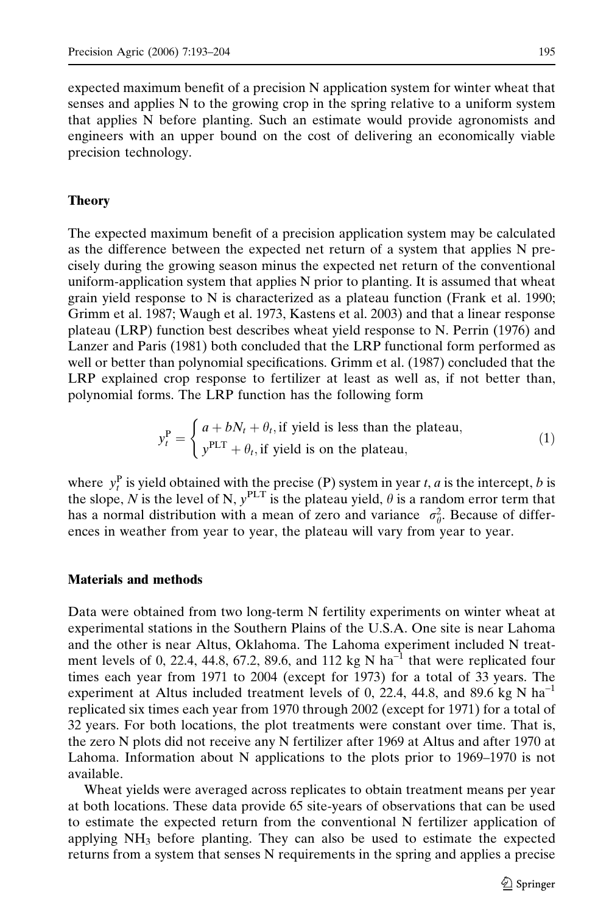expected maximum benefit of a precision N application system for winter wheat that senses and applies N to the growing crop in the spring relative to a uniform system that applies N before planting. Such an estimate would provide agronomists and engineers with an upper bound on the cost of delivering an economically viable precision technology.

# Theory

The expected maximum benefit of a precision application system may be calculated as the difference between the expected net return of a system that applies N precisely during the growing season minus the expected net return of the conventional uniform-application system that applies N prior to planting. It is assumed that wheat grain yield response to N is characterized as a plateau function (Frank et al. 1990; Grimm et al. 1987; Waugh et al. 1973, Kastens et al. 2003) and that a linear response plateau (LRP) function best describes wheat yield response to N. Perrin (1976) and Lanzer and Paris (1981) both concluded that the LRP functional form performed as well or better than polynomial specifications. Grimm et al. (1987) concluded that the LRP explained crop response to fertilizer at least as well as, if not better than, polynomial forms. The LRP function has the following form

$$
y_t^P = \begin{cases} a + bN_t + \theta_t, \text{if yield is less than the plateau,} \\ y^{PLT} + \theta_t, \text{if yield is on the plateau,} \end{cases}
$$
 (1)

where  $y_t^P$  is yield obtained with the precise (P) system in year t, a is the intercept, b is the slope, N is the level of N,  $y^{PLT}$  is the plateau yield,  $\theta$  is a random error term that has a normal distribution with a mean of zero and variance  $\sigma_{\theta}^2$ . Because of differences in weather from year to year, the plateau will vary from year to year.

# Materials and methods

Data were obtained from two long-term N fertility experiments on winter wheat at experimental stations in the Southern Plains of the U.S.A. One site is near Lahoma and the other is near Altus, Oklahoma. The Lahoma experiment included N treatment levels of 0, 22.4, 44.8, 67.2, 89.6, and 112 kg N ha<sup>-1</sup> that were replicated four times each year from 1971 to 2004 (except for 1973) for a total of 33 years. The experiment at Altus included treatment levels of 0, 22.4, 44.8, and 89.6 kg N  $\text{ha}^{-1}$ replicated six times each year from 1970 through 2002 (except for 1971) for a total of 32 years. For both locations, the plot treatments were constant over time. That is, the zero N plots did not receive any N fertilizer after 1969 at Altus and after 1970 at Lahoma. Information about N applications to the plots prior to 1969–1970 is not available.

Wheat yields were averaged across replicates to obtain treatment means per year at both locations. These data provide 65 site-years of observations that can be used to estimate the expected return from the conventional N fertilizer application of applying  $NH<sub>3</sub>$  before planting. They can also be used to estimate the expected returns from a system that senses N requirements in the spring and applies a precise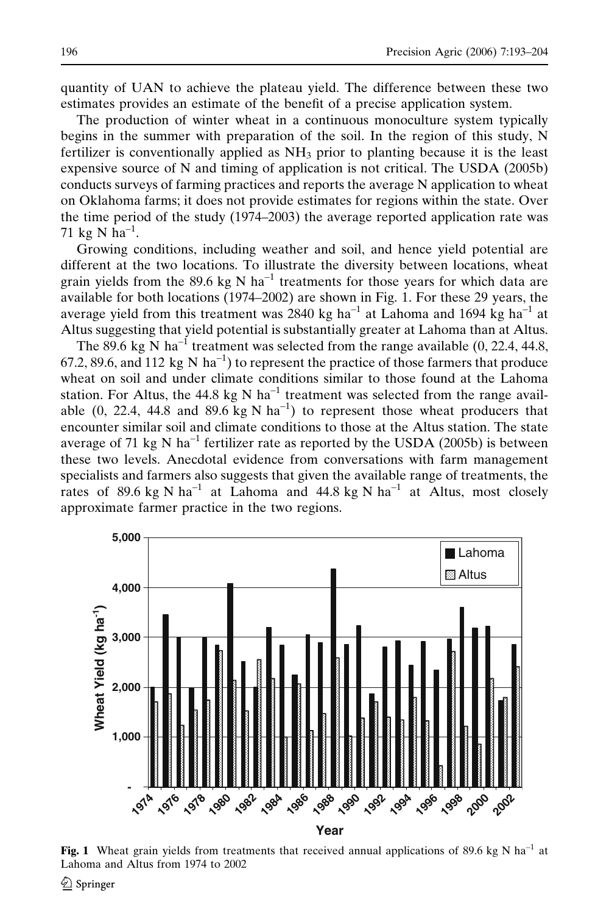quantity of UAN to achieve the plateau yield. The difference between these two estimates provides an estimate of the benefit of a precise application system.

The production of winter wheat in a continuous monoculture system typically begins in the summer with preparation of the soil. In the region of this study, N fertilizer is conventionally applied as  $NH<sub>3</sub>$  prior to planting because it is the least expensive source of N and timing of application is not critical. The USDA (2005b) conducts surveys of farming practices and reports the average N application to wheat on Oklahoma farms; it does not provide estimates for regions within the state. Over the time period of the study (1974–2003) the average reported application rate was 71 kg N ha<sup>-1</sup>.

Growing conditions, including weather and soil, and hence yield potential are different at the two locations. To illustrate the diversity between locations, wheat grain yields from the 89.6 kg N ha<sup>-1</sup> treatments for those years for which data are available for both locations (1974–2002) are shown in Fig. 1. For these 29 years, the average yield from this treatment was 2840 kg ha<sup>-1</sup> at Lahoma and 1694 kg ha<sup>-1</sup> at Altus suggesting that yield potential is substantially greater at Lahoma than at Altus.

The 89.6 kg N ha<sup>-1</sup> treatment was selected from the range available  $(0, 22.4, 44.8,$ 67.2, 89.6, and 112 kg N ha<sup>-1</sup>) to represent the practice of those farmers that produce wheat on soil and under climate conditions similar to those found at the Lahoma station. For Altus, the 44.8 kg N ha<sup>-1</sup> treatment was selected from the range available (0, 22.4, 44.8 and 89.6 kg N ha<sup>-1</sup>) to represent those wheat producers that encounter similar soil and climate conditions to those at the Altus station. The state average of 71 kg N ha<sup>-1</sup> fertilizer rate as reported by the USDA (2005b) is between these two levels. Anecdotal evidence from conversations with farm management specialists and farmers also suggests that given the available range of treatments, the rates of 89.6 kg N ha<sup>-1</sup> at Lahoma and 44.8 kg N ha<sup>-1</sup> at Altus, most closely approximate farmer practice in the two regions.



**Fig. 1** Wheat grain yields from treatments that received annual applications of 89.6 kg N ha<sup>-1</sup> at Lahoma and Altus from 1974 to 2002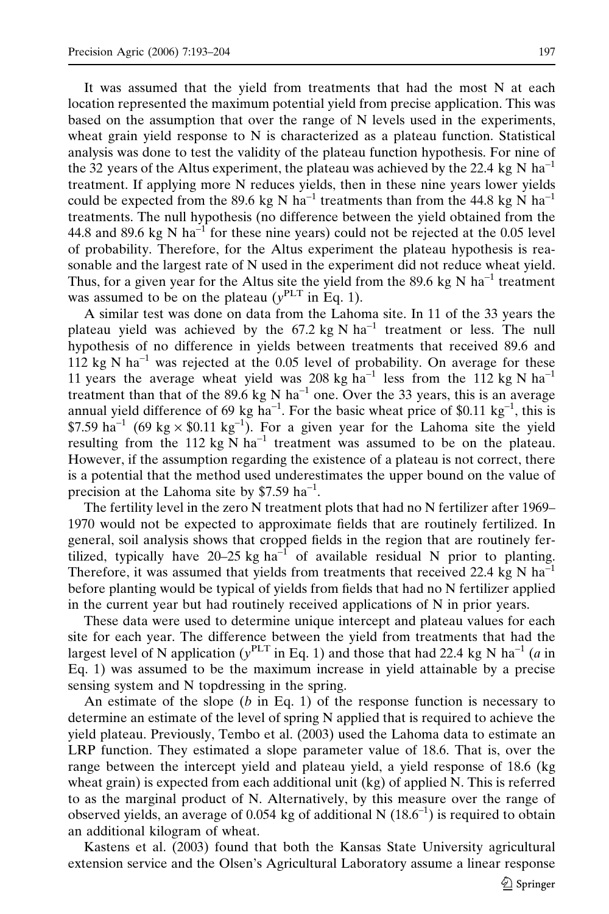It was assumed that the yield from treatments that had the most N at each location represented the maximum potential yield from precise application. This was based on the assumption that over the range of N levels used in the experiments, wheat grain yield response to  $N$  is characterized as a plateau function. Statistical analysis was done to test the validity of the plateau function hypothesis. For nine of the 32 years of the Altus experiment, the plateau was achieved by the 22.4 kg N ha<sup>-1</sup> treatment. If applying more N reduces yields, then in these nine years lower yields could be expected from the 89.6 kg N ha<sup>-1</sup> treatments than from the 44.8 kg N ha<sup>-1</sup> treatments. The null hypothesis (no difference between the yield obtained from the 44.8 and 89.6 kg N  $ha^{-1}$  for these nine years) could not be rejected at the 0.05 level of probability. Therefore, for the Altus experiment the plateau hypothesis is reasonable and the largest rate of N used in the experiment did not reduce wheat yield. Thus, for a given year for the Altus site the yield from the 89.6 kg N ha<sup>-1</sup> treatment was assumed to be on the plateau ( $y<sup>PLT</sup>$  in Eq. 1).

A similar test was done on data from the Lahoma site. In 11 of the 33 years the plateau yield was achieved by the  $67.2$  kg N ha<sup>-1</sup> treatment or less. The null hypothesis of no difference in yields between treatments that received 89.6 and  $112$  kg N ha<sup>-1</sup> was rejected at the 0.05 level of probability. On average for these 11 years the average wheat yield was 208 kg ha<sup>-1</sup> less from the 112 kg N ha<sup>-1</sup> treatment than that of the 89.6 kg N ha<sup>-1</sup> one. Over the 33 years, this is an average annual yield difference of 69 kg ha<sup>-1</sup>. For the basic wheat price of \$0.11 kg<sup>-1</sup>, this is \$7.59 ha<sup>-1</sup> (69 kg  $\times$  \$0.11 kg<sup>-1</sup>). For a given year for the Lahoma site the yield resulting from the 112 kg N  $\text{ha}^{-1}$  treatment was assumed to be on the plateau. However, if the assumption regarding the existence of a plateau is not correct, there is a potential that the method used underestimates the upper bound on the value of precision at the Lahoma site by  $$7.59$  ha<sup>-1</sup>.

The fertility level in the zero N treatment plots that had no N fertilizer after 1969– 1970 would not be expected to approximate fields that are routinely fertilized. In general, soil analysis shows that cropped fields in the region that are routinely fertilized, typically have  $20-25$  kg ha<sup>-1</sup> of available residual N prior to planting. Therefore, it was assumed that yields from treatments that received 22.4 kg N  $ha^{-1}$ before planting would be typical of yields from fields that had no N fertilizer applied in the current year but had routinely received applications of N in prior years.

These data were used to determine unique intercept and plateau values for each site for each year. The difference between the yield from treatments that had the largest level of N application ( $y^{PLT}$  in Eq. 1) and those that had 22.4 kg N ha<sup>-1</sup> (a in Eq. 1) was assumed to be the maximum increase in yield attainable by a precise sensing system and N topdressing in the spring.

An estimate of the slope  $(b \text{ in Eq. 1})$  of the response function is necessary to determine an estimate of the level of spring N applied that is required to achieve the yield plateau. Previously, Tembo et al. (2003) used the Lahoma data to estimate an LRP function. They estimated a slope parameter value of 18.6. That is, over the range between the intercept yield and plateau yield, a yield response of 18.6 (kg wheat grain) is expected from each additional unit (kg) of applied N. This is referred to as the marginal product of N. Alternatively, by this measure over the range of observed yields, an average of 0.054 kg of additional N  $(18.6^{-1})$  is required to obtain an additional kilogram of wheat.

Kastens et al. (2003) found that both the Kansas State University agricultural extension service and the Olsen's Agricultural Laboratory assume a linear response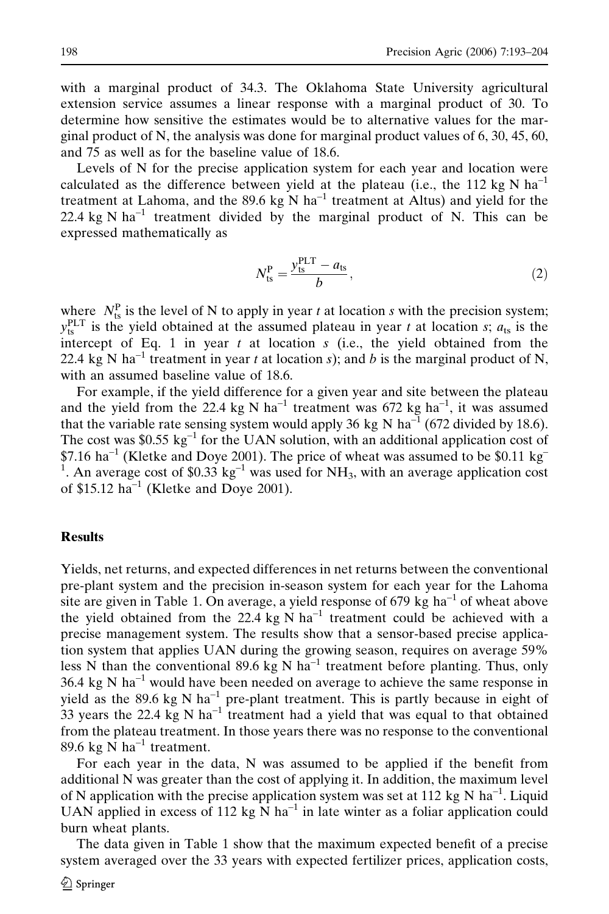with a marginal product of 34.3. The Oklahoma State University agricultural extension service assumes a linear response with a marginal product of 30. To determine how sensitive the estimates would be to alternative values for the marginal product of N, the analysis was done for marginal product values of 6, 30, 45, 60, and 75 as well as for the baseline value of 18.6.

Levels of N for the precise application system for each year and location were calculated as the difference between yield at the plateau (i.e., the 112 kg N ha<sup>-1</sup> treatment at Lahoma, and the 89.6 kg N ha<sup>-1</sup> treatment at Altus) and yield for the 22.4 kg N  $ha^{-1}$  treatment divided by the marginal product of N. This can be expressed mathematically as

$$
N_{\text{ts}}^{\text{P}} = \frac{y_{\text{ts}}^{\text{PLT}} - a_{\text{ts}}}{b},\tag{2}
$$

where  $N_{ts}^{\text{P}}$  is the level of N to apply in year t at location s with the precision system;  $y_{ts}^{PLT}$  is the yield obtained at the assumed plateau in year t at location s;  $a_{ts}$  is the intercept of Eq. 1 in year  $t$  at location  $s$  (i.e., the yield obtained from the 22.4 kg N ha<sup>-1</sup> treatment in year t at location s); and b is the marginal product of N, with an assumed baseline value of 18.6.

For example, if the yield difference for a given year and site between the plateau and the yield from the 22.4 kg N ha<sup>-1</sup> treatment was 672 kg ha<sup>-1</sup>, it was assumed that the variable rate sensing system would apply 36 kg N ha<sup>-1</sup> (672 divided by 18.6). The cost was \$0.55 kg<sup>-1</sup> for the UAN solution, with an additional application cost of  $$7.16$  ha<sup>-1</sup> (Kletke and Doye 2001). The price of wheat was assumed to be \$0.11 kg <sup>1</sup>. An average cost of \$0.33 kg<sup>-1</sup> was used for NH<sub>3</sub>, with an average application cost of  $$15.12$  ha<sup>-1</sup> (Kletke and Doye 2001).

#### **Results**

Yields, net returns, and expected differences in net returns between the conventional pre-plant system and the precision in-season system for each year for the Lahoma site are given in Table 1. On average, a yield response of 679 kg ha<sup>-1</sup> of wheat above the yield obtained from the 22.4 kg N ha<sup>-1</sup> treatment could be achieved with a precise management system. The results show that a sensor-based precise application system that applies UAN during the growing season, requires on average 59% less N than the conventional 89.6 kg N ha<sup>-1</sup> treatment before planting. Thus, only  $36.4 \text{ kg N} \text{ ha}^{-1}$  would have been needed on average to achieve the same response in yield as the 89.6 kg N ha<sup>-1</sup> pre-plant treatment. This is partly because in eight of 33 years the 22.4 kg N ha<sup>-1</sup> treatment had a yield that was equal to that obtained from the plateau treatment. In those years there was no response to the conventional 89.6 kg N ha<sup>-1</sup> treatment.

For each year in the data, N was assumed to be applied if the benefit from additional N was greater than the cost of applying it. In addition, the maximum level of N application with the precise application system was set at 112 kg N ha<sup>-1</sup>. Liquid UAN applied in excess of 112 kg  $\overrightarrow{N}$  ha<sup>-1</sup> in late winter as a foliar application could burn wheat plants.

The data given in Table 1 show that the maximum expected benefit of a precise system averaged over the 33 years with expected fertilizer prices, application costs,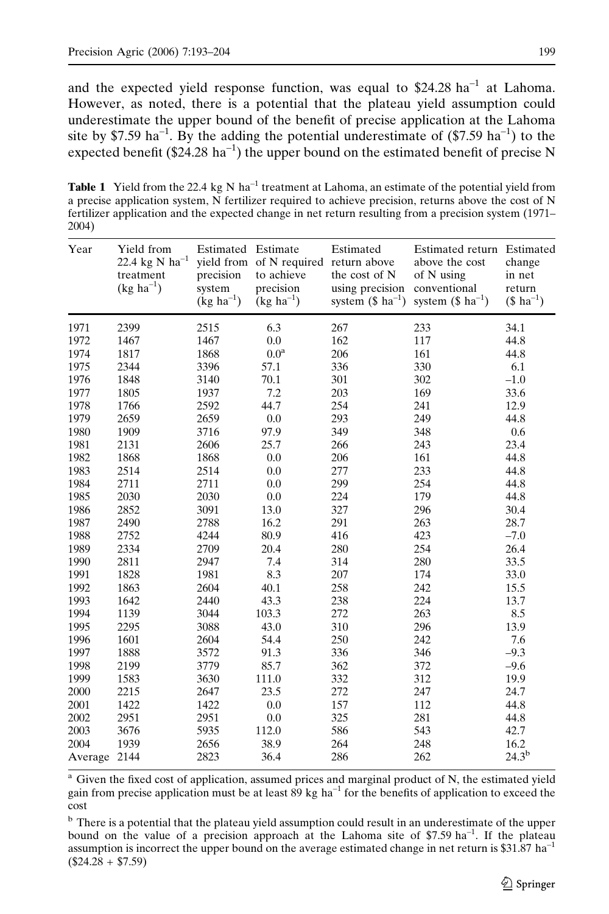and the expected yield response function, was equal to  $$24.28 \text{ ha}^{-1}$$  at Lahoma. However, as noted, there is a potential that the plateau yield assumption could underestimate the upper bound of the benefit of precise application at the Lahoma site by \$7.59 ha<sup>-1</sup>. By the adding the potential underestimate of  $(\$7.59 \text{ ha}^{-1})$  to the expected benefit ( $$24.28 \text{ ha}^{-1}$$ ) the upper bound on the estimated benefit of precise N

**Table 1** Yield from the 22.4 kg N ha<sup>-1</sup> treatment at Lahoma, an estimate of the potential yield from a precise application system, N fertilizer required to achieve precision, returns above the cost of N fertilizer application and the expected change in net return resulting from a precision system (1971– 2004)

| Year    | Yield from<br>$22.4~{\rm kg}~{\rm N}~{\rm ha}^{-1}$<br>treatment<br>$(kg ha^{-1})$ | Estimated Estimate<br>precision<br>system<br>$(kg ha^{-1})$ | yield from of N required return above<br>to achieve<br>precision<br>$(kg ha^{-1})$ | Estimated<br>the cost of N<br>using precision<br>system $($ ha-1)$ | Estimated return Estimated<br>above the cost<br>of N using<br>conventional<br>system $($ ha^{-1}$)$ | change<br>in net<br>return<br>$($ ha^{-1}$)$ |
|---------|------------------------------------------------------------------------------------|-------------------------------------------------------------|------------------------------------------------------------------------------------|--------------------------------------------------------------------|-----------------------------------------------------------------------------------------------------|----------------------------------------------|
| 1971    | 2399                                                                               | 2515                                                        | 6.3                                                                                | 267                                                                | 233                                                                                                 | 34.1                                         |
| 1972    | 1467                                                                               | 1467                                                        | 0.0                                                                                | 162                                                                | 117                                                                                                 | 44.8                                         |
| 1974    | 1817                                                                               | 1868                                                        | 0.0 <sup>a</sup>                                                                   | 206                                                                | 161                                                                                                 | 44.8                                         |
| 1975    | 2344                                                                               | 3396                                                        | 57.1                                                                               | 336                                                                | 330                                                                                                 | 6.1                                          |
| 1976    | 1848                                                                               | 3140                                                        | 70.1                                                                               | 301                                                                | 302                                                                                                 | $-1.0$                                       |
| 1977    | 1805                                                                               | 1937                                                        | 7.2                                                                                | 203                                                                | 169                                                                                                 | 33.6                                         |
| 1978    | 1766                                                                               | 2592                                                        | 44.7                                                                               | 254                                                                | 241                                                                                                 | 12.9                                         |
| 1979    | 2659                                                                               | 2659                                                        | 0.0                                                                                | 293                                                                | 249                                                                                                 | 44.8                                         |
| 1980    | 1909                                                                               | 3716                                                        | 97.9                                                                               | 349                                                                | 348                                                                                                 | 0.6                                          |
| 1981    | 2131                                                                               | 2606                                                        | 25.7                                                                               | 266                                                                | 243                                                                                                 | 23.4                                         |
| 1982    | 1868                                                                               | 1868                                                        | 0.0                                                                                | 206                                                                | 161                                                                                                 | 44.8                                         |
| 1983    | 2514                                                                               | 2514                                                        | 0.0                                                                                | 277                                                                | 233                                                                                                 | 44.8                                         |
| 1984    | 2711                                                                               | 2711                                                        | 0.0                                                                                | 299                                                                | 254                                                                                                 | 44.8                                         |
| 1985    | 2030                                                                               | 2030                                                        | $0.0\,$                                                                            | 224                                                                | 179                                                                                                 | 44.8                                         |
| 1986    | 2852                                                                               | 3091                                                        | 13.0                                                                               | 327                                                                | 296                                                                                                 | 30.4                                         |
| 1987    | 2490                                                                               | 2788                                                        | 16.2                                                                               | 291                                                                | 263                                                                                                 | 28.7                                         |
| 1988    | 2752                                                                               | 4244                                                        | 80.9                                                                               | 416                                                                | 423                                                                                                 | $-7.0$                                       |
| 1989    | 2334                                                                               | 2709                                                        | 20.4                                                                               | 280                                                                | 254                                                                                                 | 26.4                                         |
| 1990    | 2811                                                                               | 2947                                                        | 7.4                                                                                | 314                                                                | 280                                                                                                 | 33.5                                         |
| 1991    | 1828                                                                               | 1981                                                        | 8.3                                                                                | 207                                                                | 174                                                                                                 | 33.0                                         |
| 1992    | 1863                                                                               | 2604                                                        | 40.1                                                                               | 258                                                                | 242                                                                                                 | 15.5                                         |
| 1993    | 1642                                                                               | 2440                                                        | 43.3                                                                               | 238                                                                | 224                                                                                                 | 13.7                                         |
| 1994    | 1139                                                                               | 3044                                                        | 103.3                                                                              | 272                                                                | 263                                                                                                 | 8.5                                          |
| 1995    | 2295                                                                               | 3088                                                        | 43.0                                                                               | 310                                                                | 296                                                                                                 | 13.9                                         |
| 1996    | 1601                                                                               | 2604                                                        | 54.4                                                                               | 250                                                                | 242                                                                                                 | 7.6                                          |
| 1997    | 1888                                                                               | 3572                                                        | 91.3                                                                               | 336                                                                | 346                                                                                                 | $-9.3$                                       |
| 1998    | 2199                                                                               | 3779                                                        | 85.7                                                                               | 362                                                                | 372                                                                                                 | $-9.6$                                       |
| 1999    | 1583                                                                               | 3630                                                        | 111.0                                                                              | 332                                                                | 312                                                                                                 | 19.9                                         |
| 2000    | 2215                                                                               | 2647                                                        | 23.5                                                                               | 272                                                                | 247                                                                                                 | 24.7                                         |
| 2001    | 1422                                                                               | 1422                                                        | 0.0                                                                                | 157                                                                | 112                                                                                                 | 44.8                                         |
| 2002    | 2951                                                                               | 2951                                                        | 0.0                                                                                | 325                                                                | 281                                                                                                 | 44.8                                         |
| 2003    | 3676                                                                               | 5935                                                        | 112.0                                                                              | 586                                                                | 543                                                                                                 | 42.7                                         |
| 2004    | 1939                                                                               | 2656                                                        | 38.9                                                                               | 264                                                                | 248                                                                                                 | 16.2                                         |
| Average | 2144                                                                               | 2823                                                        | 36.4                                                                               | 286                                                                | 262                                                                                                 | $24.3^{b}$                                   |

Given the fixed cost of application, assumed prices and marginal product of N, the estimated yield gain from precise application must be at least 89 kg  $ha^{-1}$  for the benefits of application to exceed the cost

<sup>b</sup> There is a potential that the plateau yield assumption could result in an underestimate of the upper bound on the value of a precision approach at the Lahoma site of  $$7.59$  ha<sup>-1</sup>. If the plateau assumption is incorrect the upper bound on the average estimated change in net return is  $$31.87$  ha<sup>-1</sup>  $($24.28 + $7.59)$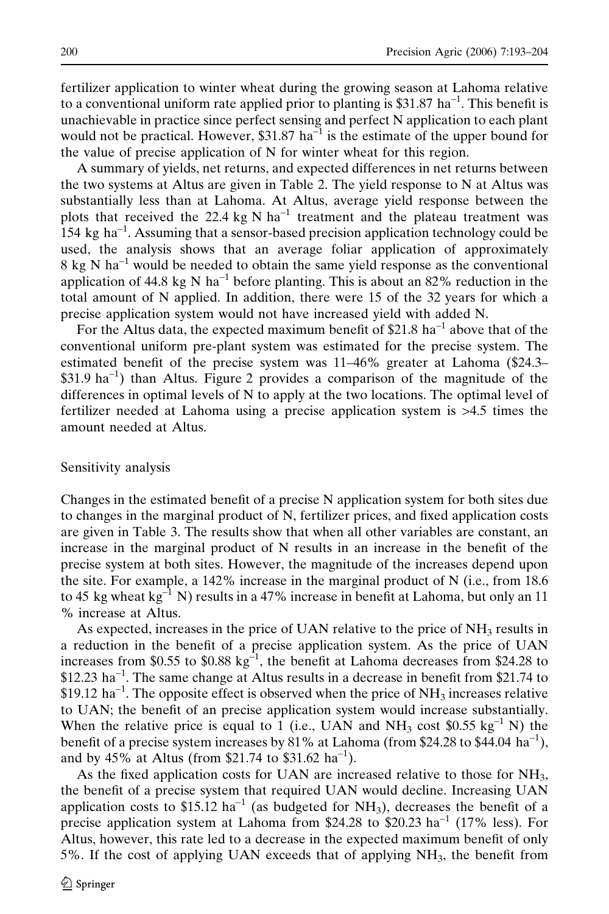fertilizer application to winter wheat during the growing season at Lahoma relative to a conventional uniform rate applied prior to planting is \$31.87 ha<sup>-1</sup>. This benefit is unachievable in practice since perfect sensing and perfect N application to each plant would not be practical. However,  $$31.87 \text{ ha}^{-1}$$  is the estimate of the upper bound for the value of precise application of N for winter wheat for this region.

A summary of yields, net returns, and expected differences in net returns between the two systems at Altus are given in Table 2. The yield response to  $N$  at Altus was substantially less than at Lahoma. At Altus, average yield response between the plots that received the 22.4 kg N ha<sup>-1</sup> treatment and the plateau treatment was  $154 \text{ kg}$  ha<sup>-1</sup>. Assuming that a sensor-based precision application technology could be used, the analysis shows that an average foliar application of approximately  $8 \text{ kg N}$  ha<sup>-1</sup> would be needed to obtain the same yield response as the conventional application of 44.8 kg N ha<sup>-1</sup> before planting. This is about an 82% reduction in the total amount of N applied. In addition, there were 15 of the 32 years for which a precise application system would not have increased yield with added N.

For the Altus data, the expected maximum benefit of  $$21.8 \text{ ha}^{-1}$  above that of the conventional uniform pre-plant system was estimated for the precise system. The estimated benefit of the precise system was 11–46% greater at Lahoma (\$24.3–  $$31.9 \text{ ha}^{-1}$$  than Altus. Figure 2 provides a comparison of the magnitude of the differences in optimal levels of N to apply at the two locations. The optimal level of fertilizer needed at Lahoma using a precise application system is >4.5 times the amount needed at Altus.

#### Sensitivity analysis

Changes in the estimated benefit of a precise N application system for both sites due to changes in the marginal product of N, fertilizer prices, and fixed application costs are given in Table 3. The results show that when all other variables are constant, an increase in the marginal product of N results in an increase in the benefit of the precise system at both sites. However, the magnitude of the increases depend upon the site. For example, a 142% increase in the marginal product of N (i.e., from 18.6 to 45 kg wheat kg<sup>-1</sup> N) results in a 47% increase in benefit at Lahoma, but only an 11 % increase at Altus.

As expected, increases in the price of UAN relative to the price of  $NH<sub>3</sub>$  results in a reduction in the benefit of a precise application system. As the price of UAN increases from \$0.55 to \$0.88 kg<sup>-1</sup>, the benefit at Lahoma decreases from \$24.28 to  $$12.23$  ha<sup>-1</sup>. The same change at Altus results in a decrease in benefit from \$21.74 to  $$19.12$  ha<sup>-1</sup>. The opposite effect is observed when the price of NH<sub>3</sub> increases relative to UAN; the benefit of an precise application system would increase substantially. When the relative price is equal to 1 (i.e., UAN and  $NH_3$  cost \$0.55 kg<sup>-1</sup> N) the benefit of a precise system increases by  $81\%$  at Lahoma (from \$24.28 to \$44.04 ha<sup>-1</sup>), and by 45% at Altus (from \$21.74 to \$31.62 ha<sup>-1</sup>).

As the fixed application costs for UAN are increased relative to those for NH3, the benefit of a precise system that required UAN would decline. Increasing UAN application costs to  $$15.12$  ha<sup>-1</sup> (as budgeted for NH<sub>3</sub>), decreases the benefit of a precise application system at Lahoma from \$24.28 to \$20.23 ha<sup>-1</sup> (17% less). For Altus, however, this rate led to a decrease in the expected maximum benefit of only 5%. If the cost of applying UAN exceeds that of applying  $NH<sub>3</sub>$ , the benefit from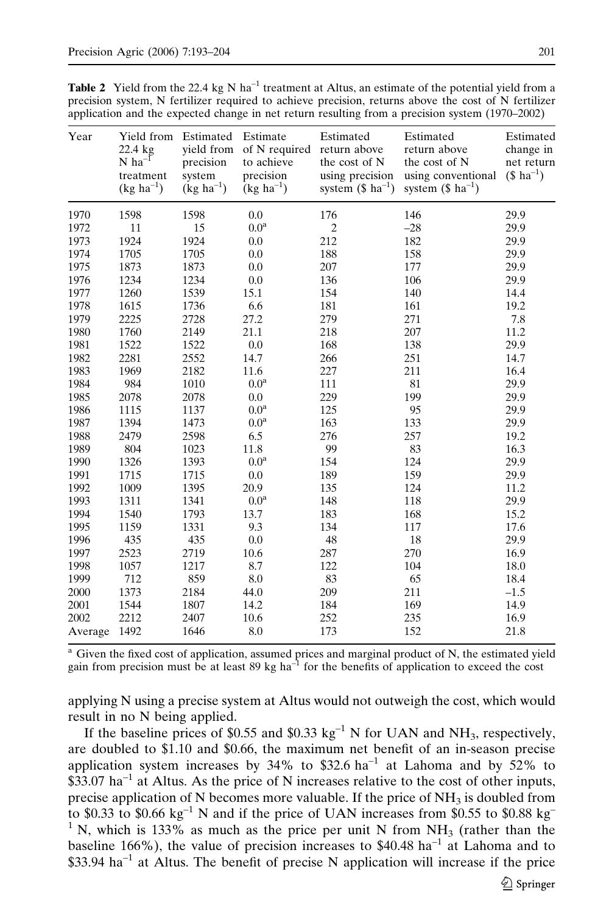|  |  | <b>Table 2</b> Yield from the 22.4 kg N ha <sup>-1</sup> treatment at Altus, an estimate of the potential yield from a |  |  |  |
|--|--|------------------------------------------------------------------------------------------------------------------------|--|--|--|
|  |  | precision system, N fertilizer required to achieve precision, returns above the cost of N fertilizer                   |  |  |  |
|  |  | application and the expected change in net return resulting from a precision system (1970–2002)                        |  |  |  |

| Year    | Yield from Estimated<br>22.4 kg<br>$N$ ha <sup>-1</sup><br>treatment<br>$(kg ha^{-1})$ | vield from<br>precision<br>system<br>$(kg ha^{-1})$ | Estimate<br>of N required<br>to achieve<br>precision<br>$(kg ha^{-1})$ | Estimated<br>return above<br>the cost of N<br>using precision<br>system $($ ha-1)$ | Estimated<br>return above<br>the cost of N<br>using conventional<br>system $($ ha^{-1})$ | Estimated<br>change in<br>net return<br>$($ ha^{-1}$)$ |
|---------|----------------------------------------------------------------------------------------|-----------------------------------------------------|------------------------------------------------------------------------|------------------------------------------------------------------------------------|------------------------------------------------------------------------------------------|--------------------------------------------------------|
| 1970    | 1598                                                                                   | 1598                                                | 0.0                                                                    | 176                                                                                | 146                                                                                      | 29.9                                                   |
| 1972    | 11                                                                                     | 15                                                  | 0.0 <sup>a</sup>                                                       | $\overline{c}$                                                                     | $-28$                                                                                    | 29.9                                                   |
| 1973    | 1924                                                                                   | 1924                                                | 0.0                                                                    | 212                                                                                | 182                                                                                      | 29.9                                                   |
| 1974    | 1705                                                                                   | 1705                                                | 0.0                                                                    | 188                                                                                | 158                                                                                      | 29.9                                                   |
| 1975    | 1873                                                                                   | 1873                                                | 0.0                                                                    | 207                                                                                | 177                                                                                      | 29.9                                                   |
| 1976    | 1234                                                                                   | 1234                                                | 0.0                                                                    | 136                                                                                | 106                                                                                      | 29.9                                                   |
| 1977    | 1260                                                                                   | 1539                                                | 15.1                                                                   | 154                                                                                | 140                                                                                      | 14.4                                                   |
| 1978    | 1615                                                                                   | 1736                                                | 6.6                                                                    | 181                                                                                | 161                                                                                      | 19.2                                                   |
| 1979    | 2225                                                                                   | 2728                                                | 27.2                                                                   | 279                                                                                | 271                                                                                      | 7.8                                                    |
| 1980    | 1760                                                                                   | 2149                                                | 21.1                                                                   | 218                                                                                | 207                                                                                      | 11.2                                                   |
| 1981    | 1522                                                                                   | 1522                                                | 0.0                                                                    | 168                                                                                | 138                                                                                      | 29.9                                                   |
| 1982    | 2281                                                                                   | 2552                                                | 14.7                                                                   | 266                                                                                | 251                                                                                      | 14.7                                                   |
| 1983    | 1969                                                                                   | 2182                                                | 11.6                                                                   | 227                                                                                | 211                                                                                      | 16.4                                                   |
| 1984    | 984                                                                                    | 1010                                                | 0.0 <sup>a</sup>                                                       | 111                                                                                | 81                                                                                       | 29.9                                                   |
| 1985    | 2078                                                                                   | 2078                                                | 0.0                                                                    | 229                                                                                | 199                                                                                      | 29.9                                                   |
| 1986    | 1115                                                                                   | 1137                                                | 0.0 <sup>a</sup>                                                       | 125                                                                                | 95                                                                                       | 29.9                                                   |
| 1987    | 1394                                                                                   | 1473                                                | 0.0 <sup>a</sup>                                                       | 163                                                                                | 133                                                                                      | 29.9                                                   |
| 1988    | 2479                                                                                   | 2598                                                | 6.5                                                                    | 276                                                                                | 257                                                                                      | 19.2                                                   |
| 1989    | 804                                                                                    | 1023                                                | 11.8                                                                   | 99                                                                                 | 83                                                                                       | 16.3                                                   |
| 1990    | 1326                                                                                   | 1393                                                | 0.0 <sup>a</sup>                                                       | 154                                                                                | 124                                                                                      | 29.9                                                   |
| 1991    | 1715                                                                                   | 1715                                                | 0.0                                                                    | 189                                                                                | 159                                                                                      | 29.9                                                   |
| 1992    | 1009                                                                                   | 1395                                                | 20.9                                                                   | 135                                                                                | 124                                                                                      | 11.2                                                   |
| 1993    | 1311                                                                                   | 1341                                                | $0.0^{\rm a}$                                                          | 148                                                                                | 118                                                                                      | 29.9                                                   |
| 1994    | 1540                                                                                   | 1793                                                | 13.7                                                                   | 183                                                                                | 168                                                                                      | 15.2                                                   |
| 1995    | 1159                                                                                   | 1331                                                | 9.3                                                                    | 134                                                                                | 117                                                                                      | 17.6                                                   |
| 1996    | 435                                                                                    | 435                                                 | 0.0                                                                    | 48                                                                                 | 18                                                                                       | 29.9                                                   |
| 1997    | 2523                                                                                   | 2719                                                | 10.6                                                                   | 287                                                                                | 270                                                                                      | 16.9                                                   |
| 1998    | 1057                                                                                   | 1217                                                | 8.7                                                                    | 122                                                                                | 104                                                                                      | 18.0                                                   |
| 1999    | 712                                                                                    | 859                                                 | 8.0                                                                    | 83                                                                                 | 65                                                                                       | 18.4                                                   |
| 2000    | 1373                                                                                   | 2184                                                | 44.0                                                                   | 209                                                                                | 211                                                                                      | $-1.5$                                                 |
| 2001    | 1544                                                                                   | 1807                                                | 14.2                                                                   | 184                                                                                | 169                                                                                      | 14.9                                                   |
| 2002    | 2212                                                                                   | 2407                                                | 10.6                                                                   | 252                                                                                | 235                                                                                      | 16.9                                                   |
| Average | 1492                                                                                   | 1646                                                | 8.0                                                                    | 173                                                                                | 152                                                                                      | 21.8                                                   |

<sup>a</sup> Given the fixed cost of application, assumed prices and marginal product of N, the estimated yield gain from precision must be at least 89 kg ha–1 for the benefits of application to exceed the cost

applying N using a precise system at Altus would not outweigh the cost, which would result in no N being applied.

If the baseline prices of \$0.55 and \$0.33 kg<sup>-1</sup> N for UAN and NH<sub>3</sub>, respectively, are doubled to \$1.10 and \$0.66, the maximum net benefit of an in-season precise application system increases by 34% to \$32.6 ha<sup>-1</sup> at Lahoma and by  $52\%$  to  $$33.07$  ha<sup>-1</sup> at Altus. As the price of N increases relative to the cost of other inputs, precise application of N becomes more valuable. If the price of  $NH<sub>3</sub>$  is doubled from to \$0.33 to \$0.66  $kg^{-1}$  N and if the price of UAN increases from \$0.55 to \$0.88 kg<sup>-</sup> <sup>1</sup> N, which is 133% as much as the price per unit N from NH<sub>3</sub> (rather than the baseline 166%), the value of precision increases to  $$40.48$  ha<sup>-1</sup> at Lahoma and to  $$33.94$  ha<sup>-1</sup> at Altus. The benefit of precise N application will increase if the price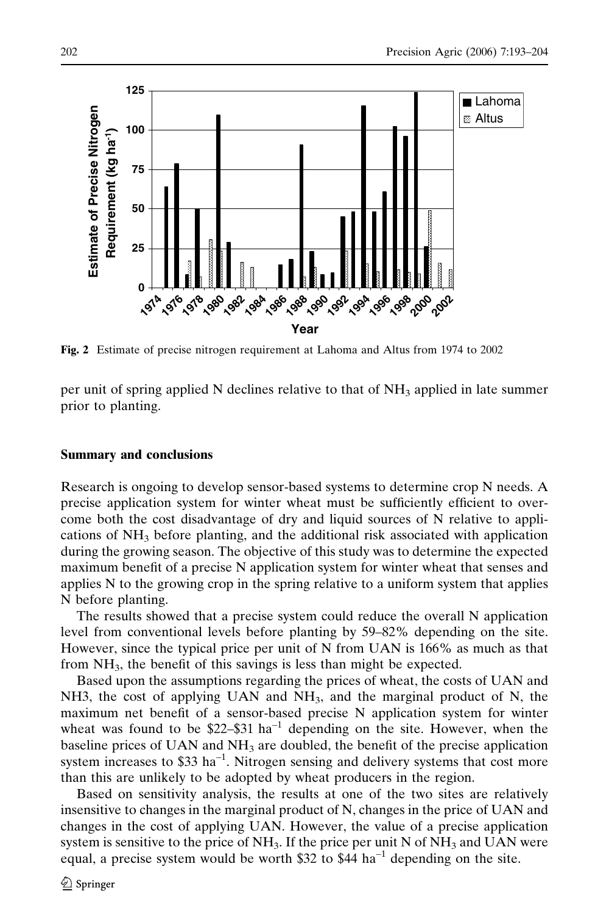

Fig. 2 Estimate of precise nitrogen requirement at Lahoma and Altus from 1974 to 2002

per unit of spring applied N declines relative to that of  $NH<sub>3</sub>$  applied in late summer prior to planting.

## Summary and conclusions

Research is ongoing to develop sensor-based systems to determine crop N needs. A precise application system for winter wheat must be sufficiently efficient to overcome both the cost disadvantage of dry and liquid sources of N relative to applications of  $NH<sub>3</sub>$  before planting, and the additional risk associated with application during the growing season. The objective of this study was to determine the expected maximum benefit of a precise N application system for winter wheat that senses and applies N to the growing crop in the spring relative to a uniform system that applies N before planting.

The results showed that a precise system could reduce the overall N application level from conventional levels before planting by 59–82% depending on the site. However, since the typical price per unit of N from UAN is 166% as much as that from  $NH<sub>3</sub>$ , the benefit of this savings is less than might be expected.

Based upon the assumptions regarding the prices of wheat, the costs of UAN and NH3, the cost of applying UAN and  $NH<sub>3</sub>$ , and the marginal product of N, the maximum net benefit of a sensor-based precise N application system for winter wheat was found to be \$22–\$31 ha<sup>-1</sup> depending on the site. However, when the baseline prices of UAN and  $NH<sub>3</sub>$  are doubled, the benefit of the precise application system increases to  $$33 \text{ ha}^{-1}$ . Nitrogen sensing and delivery systems that cost more than this are unlikely to be adopted by wheat producers in the region.

Based on sensitivity analysis, the results at one of the two sites are relatively insensitive to changes in the marginal product of N, changes in the price of UAN and changes in the cost of applying UAN. However, the value of a precise application system is sensitive to the price of  $NH<sub>3</sub>$ . If the price per unit N of  $NH<sub>3</sub>$  and UAN were equal, a precise system would be worth \$32 to \$44 ha<sup>-1</sup> depending on the site.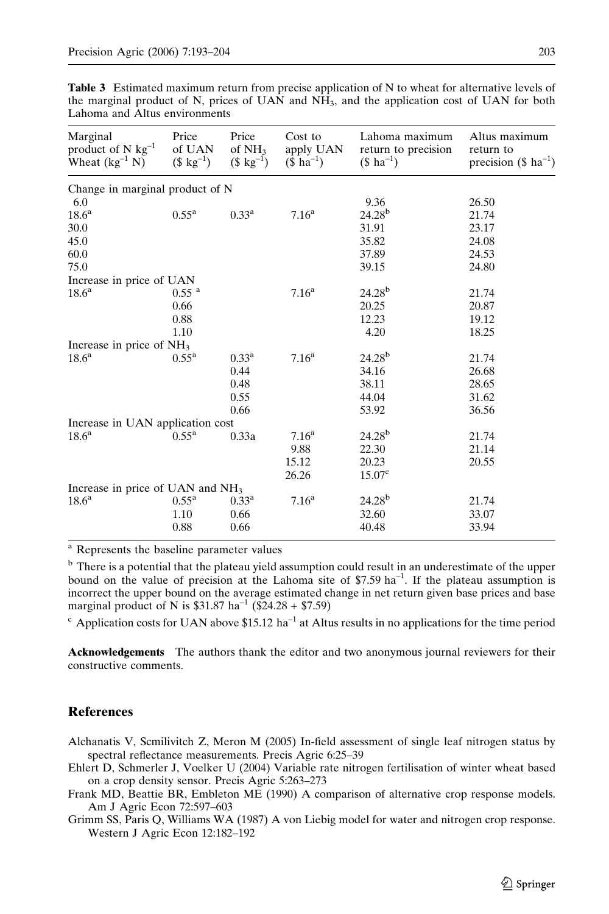| Marginal<br>product of N $kg^{-1}$<br>Wheat $(kg^{-1} N)$ | Price<br>of UAN<br>$(\$ kg^{-1})$ | Price<br>of NH <sub>3</sub><br>$(\$ kg^{-1})$ | Cost to<br>apply UAN<br>$($ ha^{-1}$)$ | Lahoma maximum<br>return to precision<br>$($ ha^{-1}$)$ | Altus maximum<br>return to<br>precision $(\$$ ha <sup>-1</sup> ) |
|-----------------------------------------------------------|-----------------------------------|-----------------------------------------------|----------------------------------------|---------------------------------------------------------|------------------------------------------------------------------|
| Change in marginal product of N                           |                                   |                                               |                                        |                                                         |                                                                  |
| 6.0                                                       |                                   |                                               |                                        | 9.36                                                    | 26.50                                                            |
| 18.6 <sup>a</sup>                                         | $0.55^{\rm a}$                    | $0.33^{\rm a}$                                | 7.16 <sup>a</sup>                      | $24.28^{b}$                                             | 21.74                                                            |
| 30.0                                                      |                                   |                                               |                                        | 31.91                                                   | 23.17                                                            |
| 45.0                                                      |                                   |                                               |                                        | 35.82                                                   | 24.08                                                            |
| 60.0                                                      |                                   |                                               |                                        | 37.89                                                   | 24.53                                                            |
| 75.0                                                      |                                   |                                               |                                        | 39.15                                                   | 24.80                                                            |
| Increase in price of UAN                                  |                                   |                                               |                                        |                                                         |                                                                  |
| 18.6 <sup>a</sup>                                         | $0.55$ <sup>a</sup>               |                                               | 7.16 <sup>a</sup>                      | $24.28^{b}$                                             | 21.74                                                            |
|                                                           | 0.66                              |                                               |                                        | 20.25                                                   | 20.87                                                            |
|                                                           | 0.88                              |                                               |                                        | 12.23                                                   | 19.12                                                            |
|                                                           | 1.10                              |                                               |                                        | 4.20                                                    | 18.25                                                            |
| Increase in price of $NH3$                                |                                   |                                               |                                        |                                                         |                                                                  |
| 18.6 <sup>a</sup>                                         | $0.55^{\rm a}$                    | $0.33^a$                                      | 7.16 <sup>a</sup>                      | $24.28^{b}$                                             | 21.74                                                            |
|                                                           |                                   | 0.44                                          |                                        | 34.16                                                   | 26.68                                                            |
|                                                           |                                   | 0.48                                          |                                        | 38.11                                                   | 28.65                                                            |
|                                                           |                                   | 0.55                                          |                                        | 44.04                                                   | 31.62                                                            |
|                                                           |                                   | 0.66                                          |                                        | 53.92                                                   | 36.56                                                            |
| Increase in UAN application cost                          |                                   |                                               |                                        |                                                         |                                                                  |
| 18.6 <sup>a</sup>                                         | $0.55^{\rm a}$                    | 0.33a                                         | 7.16 <sup>a</sup>                      | $24.28^{b}$                                             | 21.74                                                            |
|                                                           |                                   |                                               | 9.88                                   | 22.30                                                   | 21.14                                                            |
|                                                           |                                   |                                               | 15.12                                  | 20.23                                                   | 20.55                                                            |
|                                                           |                                   |                                               | 26.26                                  | 15.07 <sup>c</sup>                                      |                                                                  |
| Increase in price of UAN and NH <sub>3</sub>              |                                   |                                               |                                        |                                                         |                                                                  |
| 18.6 <sup>a</sup>                                         | 0.55 <sup>a</sup>                 | $0.33^{\rm a}$                                | 7.16 <sup>a</sup>                      | $24.28^{b}$                                             | 21.74                                                            |
|                                                           | 1.10                              | 0.66                                          |                                        | 32.60                                                   | 33.07                                                            |
|                                                           | 0.88                              | 0.66                                          |                                        | 40.48                                                   | 33.94                                                            |

Table 3 Estimated maximum return from precise application of N to wheat for alternative levels of the marginal product of N, prices of UAN and NH3, and the application cost of UAN for both Lahoma and Altus environments

<sup>a</sup> Represents the baseline parameter values

<sup>b</sup> There is a potential that the plateau yield assumption could result in an underestimate of the upper bound on the value of precision at the Lahoma site of  $$7.59 \text{ ha}^{-1}$ . If the plateau assumption is incorrect the upper bound on the average estimated change in net return given base prices and base marginal product of N is  $$31.87 \text{ ha}^{-1}$  (\$24.28 + \$7.59)

 $\degree$  Application costs for UAN above \$15.12 ha<sup>-1</sup> at Altus results in no applications for the time period

Acknowledgements The authors thank the editor and two anonymous journal reviewers for their constructive comments.

## **References**

- Alchanatis V, Scmilivitch Z, Meron M (2005) In-field assessment of single leaf nitrogen status by spectral reflectance measurements. Precis Agric 6:25–39
- Ehlert D, Schmerler J, Voelker U (2004) Variable rate nitrogen fertilisation of winter wheat based on a crop density sensor. Precis Agric 5:263–273
- Frank MD, Beattie BR, Embleton ME (1990) A comparison of alternative crop response models. Am J Agric Econ 72:597–603
- Grimm SS, Paris Q, Williams WA (1987) A von Liebig model for water and nitrogen crop response. Western J Agric Econ 12:182–192